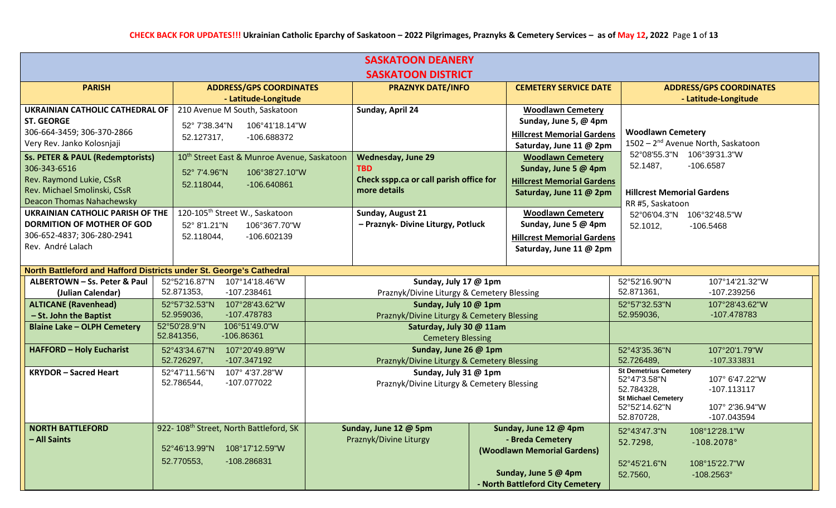| <b>SASKATOON DEANERY</b>                                            |                                                         |                                                 |                                                 |                                                                |  |
|---------------------------------------------------------------------|---------------------------------------------------------|-------------------------------------------------|-------------------------------------------------|----------------------------------------------------------------|--|
|                                                                     |                                                         | <b>SASKATOON DISTRICT</b>                       |                                                 |                                                                |  |
| <b>PARISH</b>                                                       | <b>ADDRESS/GPS COORDINATES</b>                          | <b>PRAZNYK DATE/INFO</b>                        | <b>CEMETERY SERVICE DATE</b>                    | <b>ADDRESS/GPS COORDINATES</b>                                 |  |
|                                                                     | - Latitude-Longitude                                    |                                                 |                                                 | - Latitude-Longitude                                           |  |
| UKRAINIAN CATHOLIC CATHEDRAL OF                                     | 210 Avenue M South, Saskatoon                           | Sunday, April 24                                | <b>Woodlawn Cemetery</b>                        |                                                                |  |
| <b>ST. GEORGE</b>                                                   | 52° 7'38.34"N<br>106°41'18.14"W                         |                                                 | Sunday, June 5, @ 4pm                           |                                                                |  |
| 306-664-3459; 306-370-2866                                          | 52.127317,<br>-106.688372                               |                                                 | <b>Hillcrest Memorial Gardens</b>               | <b>Woodlawn Cemetery</b>                                       |  |
| Very Rev. Janko Kolosnjaji                                          |                                                         |                                                 | Saturday, June 11 @ 2pm                         | 1502 - 2 <sup>nd</sup> Avenue North, Saskatoon                 |  |
| <b>Ss. PETER &amp; PAUL (Redemptorists)</b>                         | 10 <sup>th</sup> Street East & Munroe Avenue, Saskatoon | <b>Wednesday, June 29</b>                       | <b>Woodlawn Cemetery</b>                        | 52°08'55.3"N 106°39'31.3"W                                     |  |
| 306-343-6516                                                        | 52° 7'4.96"N<br>106°38'27.10"W                          | <b>TBD</b>                                      | Sunday, June 5 @ 4pm                            | $-106.6587$<br>52.1487,                                        |  |
| Rev. Raymond Lukie, CSsR                                            | 52.118044,<br>-106.640861                               | Check sspp.ca or call parish office for         | <b>Hillcrest Memorial Gardens</b>               |                                                                |  |
| Rev. Michael Smolinski, CSsR                                        |                                                         | more details                                    | Saturday, June 11 @ 2pm                         | <b>Hillcrest Memorial Gardens</b>                              |  |
| Deacon Thomas Nahachewsky                                           |                                                         |                                                 |                                                 | RR #5, Saskatoon                                               |  |
| <b>UKRAINIAN CATHOLIC PARISH OF THE</b>                             | 120-105 <sup>th</sup> Street W., Saskatoon              | Sunday, August 21                               | <b>Woodlawn Cemetery</b>                        | 52°06'04.3"N 106°32'48.5"W                                     |  |
| <b>DORMITION OF MOTHER OF GOD</b>                                   | 52° 8'1.21"N<br>106°36'7.70"W                           | - Praznyk- Divine Liturgy, Potluck              | Sunday, June 5 @ 4pm                            | 52.1012,<br>$-106.5468$                                        |  |
| 306-652-4837; 306-280-2941<br>Rev. André Lalach                     | 52.118044,<br>-106.602139                               |                                                 | <b>Hillcrest Memorial Gardens</b>               |                                                                |  |
|                                                                     |                                                         |                                                 | Saturday, June 11 @ 2pm                         |                                                                |  |
| North Battleford and Hafford Districts under St. George's Cathedral |                                                         |                                                 |                                                 |                                                                |  |
| ALBERTOWN - Ss. Peter & Paul                                        | 52°52'16.87"N 107°14'18.46"W                            | Sunday, July 17 @ 1pm                           |                                                 | 52°52'16.90"N<br>107°14'21.32"W                                |  |
| (Julian Calendar)                                                   | 52.871353,<br>-107.238461                               | Praznyk/Divine Liturgy & Cemetery Blessing      |                                                 | 52.871361,<br>-107.239256                                      |  |
| <b>ALTICANE (Ravenhead)</b>                                         | 107°28'43.62"W<br>52°57'32.53"N                         | Sunday, July 10 @ 1pm                           |                                                 | 52°57'32.53"N<br>107°28'43.62"W                                |  |
| - St. John the Baptist                                              | 52.959036,<br>-107.478783                               | Praznyk/Divine Liturgy & Cemetery Blessing      |                                                 | 52.959036,<br>-107.478783                                      |  |
| <b>Blaine Lake - OLPH Cemetery</b>                                  | 52°50'28.9"N<br>106°51'49.0"W                           | Saturday, July 30 @ 11am                        |                                                 |                                                                |  |
|                                                                     | 52.841356,<br>$-106.86361$                              | <b>Cemetery Blessing</b>                        |                                                 |                                                                |  |
| <b>HAFFORD - Holy Eucharist</b>                                     | 52°43'34.67"N<br>107°20'49.89"W                         | Sunday, June 26 @ 1pm                           |                                                 | 52°43'35.36"N<br>107°20'1.79"W                                 |  |
|                                                                     | 52.726297,<br>-107.347192                               | Praznyk/Divine Liturgy & Cemetery Blessing      |                                                 | 52.726489,<br>-107.333831                                      |  |
| <b>KRYDOR-Sacred Heart</b>                                          | 52°47'11.56"N<br>107° 4'37.28"W                         | Sunday, July 31 @ 1pm                           |                                                 | <b>St Demetrius Cemetery</b><br>52°47'3.58"N<br>107° 6'47.22"W |  |
|                                                                     | 52.786544,<br>-107.077022                               | Praznyk/Divine Liturgy & Cemetery Blessing      |                                                 | 52.784328.<br>$-107.113117$                                    |  |
|                                                                     |                                                         |                                                 |                                                 | <b>St Michael Cemetery</b>                                     |  |
|                                                                     |                                                         |                                                 |                                                 | 52°52'14.62"N<br>107° 2'36.94"W                                |  |
|                                                                     |                                                         |                                                 |                                                 | 52.870728,<br>-107.043594                                      |  |
| <b>NORTH BATTLEFORD</b><br>- All Saints                             | 922-108 <sup>th</sup> Street, North Battleford, SK      | Sunday, June 12 @ 5pm<br>Praznyk/Divine Liturgy | Sunday, June 12 @ 4pm                           | 52°43'47.3"N<br>108°12'28.1"W                                  |  |
|                                                                     | 108°17'12.59"W<br>52°46'13.99"N                         |                                                 | - Breda Cemetery<br>(Woodlawn Memorial Gardens) | 52.7298,<br>$-108.2078$ °                                      |  |
|                                                                     | 52.770553,<br>-108.286831                               |                                                 |                                                 |                                                                |  |
|                                                                     |                                                         |                                                 | Sunday, June 5 @ 4pm                            | 52°45'21.6"N<br>108°15'22.7"W<br>52.7560,<br>$-108.2563$ °     |  |
|                                                                     |                                                         |                                                 | - North Battleford City Cemetery                |                                                                |  |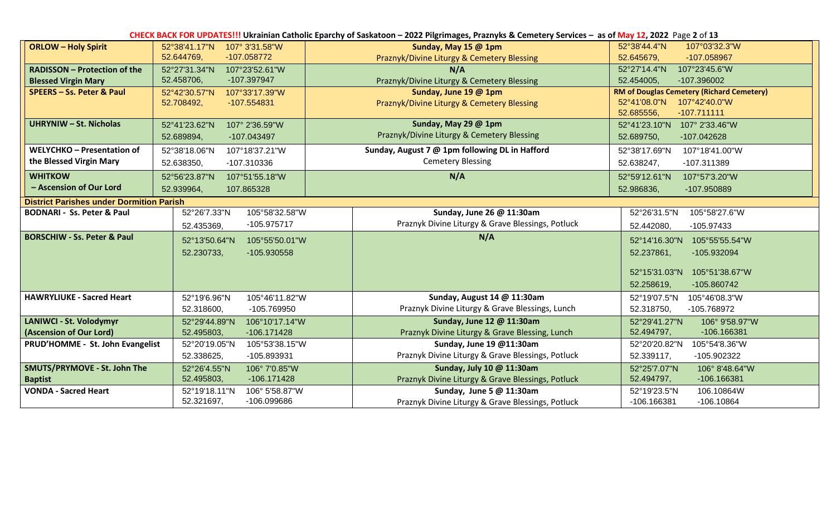| CHECK BACK FOR UPDATES!!! Ukrainian Catholic Eparchy of Saskatoon - 2022 Pilgrimages, Praznyks & Cemetery Services - as of May 12, 2022 Page 2 of 13 |                                 |                                                   |                                                  |  |  |  |
|------------------------------------------------------------------------------------------------------------------------------------------------------|---------------------------------|---------------------------------------------------|--------------------------------------------------|--|--|--|
| <b>ORLOW - Holy Spirit</b>                                                                                                                           | 107° 3'31.58"W<br>52°38'41.17"N | Sunday, May 15 @ 1pm                              | 52°38'44.4"N<br>107°03'32.3"W                    |  |  |  |
|                                                                                                                                                      | 52.644769,<br>$-107.058772$     | Praznyk/Divine Liturgy & Cemetery Blessing        | 52.645679,<br>-107.058967                        |  |  |  |
| <b>RADISSON - Protection of the</b>                                                                                                                  | 52°27'31.34"N<br>107°23'52.61"W | N/A                                               | 52°27'14.4"N<br>107°23'45.6"W                    |  |  |  |
| <b>Blessed Virgin Mary</b>                                                                                                                           | 52.458706,<br>-107.397947       | Praznyk/Divine Liturgy & Cemetery Blessing        | 52.454005,<br>-107.396002                        |  |  |  |
| SPEERS - Ss. Peter & Paul                                                                                                                            | 107°33'17.39"W<br>52°42'30.57"N | Sunday, June 19 @ 1pm                             | <b>RM of Douglas Cemetery (Richard Cemetery)</b> |  |  |  |
|                                                                                                                                                      | 52.708492,<br>-107.554831       | Praznyk/Divine Liturgy & Cemetery Blessing        | 107°42'40.0"W<br>52°41′08.0"N                    |  |  |  |
|                                                                                                                                                      |                                 |                                                   | 52.685556,<br>$-107.711111$                      |  |  |  |
| <b>UHRYNIW - St. Nicholas</b>                                                                                                                        | 52°41'23.62"N<br>107° 2'36.59"W | Sunday, May 29 @ 1pm                              | 52°41'23.10"N<br>107° 2'33.46"W                  |  |  |  |
|                                                                                                                                                      | 52.689894,<br>-107.043497       | Praznyk/Divine Liturgy & Cemetery Blessing        | 52.689750,<br>-107.042628                        |  |  |  |
| WELYCHKO - Presentation of                                                                                                                           | 52°38'18.06"N<br>107°18'37.21"W | Sunday, August 7 @ 1pm following DL in Hafford    | 52°38'17.69"N<br>107°18'41.00"W                  |  |  |  |
| the Blessed Virgin Mary                                                                                                                              | 52.638350,<br>-107.310336       | <b>Cemetery Blessing</b>                          | 52.638247,<br>-107.311389                        |  |  |  |
| <b>WHITKOW</b>                                                                                                                                       | 52°56'23.87"N<br>107°51'55.18"W | N/A                                               | 52°59'12.61"N<br>107°57'3.20"W                   |  |  |  |
| - Ascension of Our Lord                                                                                                                              | 52.939964,<br>107.865328        |                                                   | 52.986836,<br>-107.950889                        |  |  |  |
| <b>District Parishes under Dormition Parish</b>                                                                                                      |                                 |                                                   |                                                  |  |  |  |
| <b>BODNARI - Ss. Peter &amp; Paul</b>                                                                                                                | 52°26'7.33"N<br>105°58'32.58"W  | Sunday, June 26 @ 11:30am                         | 52°26'31.5"N<br>105°58'27.6"W                    |  |  |  |
|                                                                                                                                                      | -105.975717<br>52.435369,       | Praznyk Divine Liturgy & Grave Blessings, Potluck | 52.442080,<br>-105.97433                         |  |  |  |
| <b>BORSCHIW - Ss. Peter &amp; Paul</b>                                                                                                               | 52°13'50.64"N<br>105°55'50.01"W | N/A                                               | 52°14'16.30"N<br>105°55'55.54"W                  |  |  |  |
|                                                                                                                                                      | 52.230733,<br>-105.930558       |                                                   | 52.237861,<br>-105.932094                        |  |  |  |
|                                                                                                                                                      |                                 |                                                   |                                                  |  |  |  |
|                                                                                                                                                      |                                 |                                                   | 52°15'31.03"N<br>105°51'38.67"W                  |  |  |  |
|                                                                                                                                                      |                                 |                                                   | 52.258619,<br>-105.860742                        |  |  |  |
| <b>HAWRYLIUKE - Sacred Heart</b>                                                                                                                     | 52°19'6.96"N<br>105°46'11.82"W  | Sunday, August 14 @ 11:30am                       | 52°19'07.5"N<br>105°46'08.3"W                    |  |  |  |
|                                                                                                                                                      | 52.318600,<br>-105.769950       | Praznyk Divine Liturgy & Grave Blessings, Lunch   | -105.768972<br>52.318750,                        |  |  |  |
| LANIWCI - St. Volodymyr                                                                                                                              | 52°29'44.89"N<br>106°10'17.14"W | Sunday, June 12 @ 11:30am                         | 52°29'41.27"N<br>106° 9'58.97"W                  |  |  |  |
| (Ascension of Our Lord)                                                                                                                              | 52.495803,<br>-106.171428       | Praznyk Divine Liturgy & Grave Blessing, Lunch    | 52.494797,<br>-106.166381                        |  |  |  |
| PRUD'HOMME - St. John Evangelist                                                                                                                     | 52°20'19.05"N<br>105°53'38.15"W | Sunday, June 19 @11:30am                          | 52°20'20.82"N<br>105°54'8.36"W                   |  |  |  |
|                                                                                                                                                      | 52.338625,<br>-105.893931       | Praznyk Divine Liturgy & Grave Blessings, Potluck | 52.339117,<br>-105.902322                        |  |  |  |
| SMUTS/PRYMOVE - St. John The                                                                                                                         | 52°26'4.55"N<br>106° 7'0.85"W   | Sunday, July 10 @ 11:30am                         | 52°25'7.07"N<br>106° 8'48.64"W                   |  |  |  |
| <b>Baptist</b>                                                                                                                                       | 52.495803,<br>$-106.171428$     | Praznyk Divine Liturgy & Grave Blessings, Potluck | 52.494797,<br>-106.166381                        |  |  |  |
| <b>VONDA - Sacred Heart</b>                                                                                                                          | 52°19'18.11"N<br>106° 5'58.87"W | Sunday, June 5 @ 11:30am                          | 106.10864W<br>52°19'23.5"N                       |  |  |  |
|                                                                                                                                                      | 52.321697,<br>-106.099686       | Praznyk Divine Liturgy & Grave Blessings, Potluck | -106.166381<br>$-106.10864$                      |  |  |  |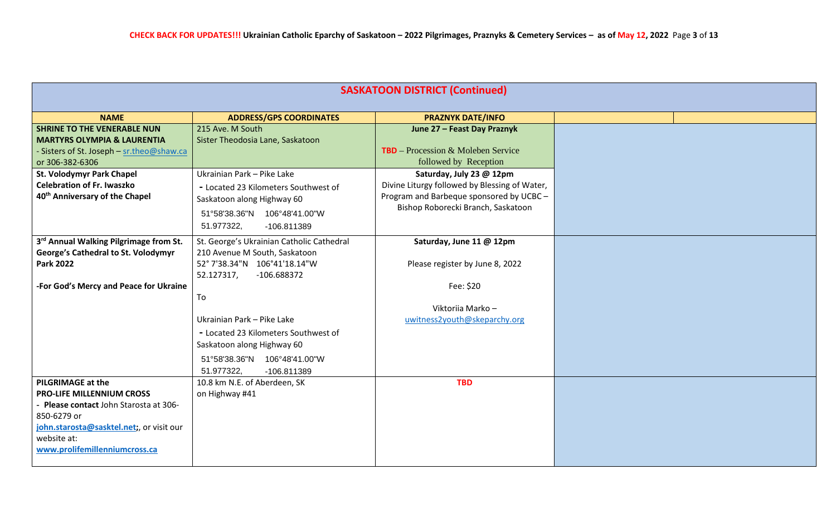| <b>SASKATOON DISTRICT (Continued)</b>                                                                                                                                          |
|--------------------------------------------------------------------------------------------------------------------------------------------------------------------------------|
| <b>NAME</b><br><b>PRAZNYK DATE/INFO</b><br><b>ADDRESS/GPS COORDINATES</b>                                                                                                      |
| <b>SHRINE TO THE VENERABLE NUN</b><br>215 Ave. M South<br>June 27 - Feast Day Praznyk                                                                                          |
| Sister Theodosia Lane, Saskatoon<br><b>MARTYRS OLYMPIA &amp; LAURENTIA</b>                                                                                                     |
| <b>TBD</b> – Procession & Moleben Service<br>- Sisters of St. Joseph - sr.theo@shaw.ca                                                                                         |
| followed by Reception<br>or 306-382-6306                                                                                                                                       |
| Ukrainian Park - Pike Lake<br>St. Volodymyr Park Chapel<br>Saturday, July 23 @ 12pm<br><b>Celebration of Fr. Iwaszko</b>                                                       |
| Divine Liturgy followed by Blessing of Water,<br>- Located 23 Kilometers Southwest of<br>40 <sup>th</sup> Anniversary of the Chapel<br>Program and Barbeque sponsored by UCBC- |
| Saskatoon along Highway 60<br>Bishop Roborecki Branch, Saskatoon                                                                                                               |
| 51°58'38.36"N 106°48'41.00"W                                                                                                                                                   |
| 51.977322,<br>-106.811389                                                                                                                                                      |
| 3rd Annual Walking Pilgrimage from St.<br>St. George's Ukrainian Catholic Cathedral<br>Saturday, June 11 @ 12pm                                                                |
| George's Cathedral to St. Volodymyr<br>210 Avenue M South, Saskatoon                                                                                                           |
| 52° 7'38.34"N 106°41'18.14"W<br><b>Park 2022</b><br>Please register by June 8, 2022                                                                                            |
| 52.127317,<br>-106.688372                                                                                                                                                      |
| -For God's Mercy and Peace for Ukraine<br>Fee: \$20                                                                                                                            |
| To                                                                                                                                                                             |
| Viktoriia Marko -                                                                                                                                                              |
| Ukrainian Park - Pike Lake<br>uwitness2youth@skeparchy.org                                                                                                                     |
| - Located 23 Kilometers Southwest of                                                                                                                                           |
| Saskatoon along Highway 60                                                                                                                                                     |
| 51°58'38.36"N  106°48'41.00"W                                                                                                                                                  |
| 51.977322,<br>-106.811389                                                                                                                                                      |
| <b>PILGRIMAGE at the</b><br>10.8 km N.E. of Aberdeen, SK<br><b>TBD</b>                                                                                                         |
| on Highway #41<br><b>PRO-LIFE MILLENNIUM CROSS</b>                                                                                                                             |
| - Please contact John Starosta at 306-                                                                                                                                         |
| 850-6279 or                                                                                                                                                                    |
| john.starosta@sasktel.net;, or visit our                                                                                                                                       |
| website at:                                                                                                                                                                    |
| www.prolifemillenniumcross.ca                                                                                                                                                  |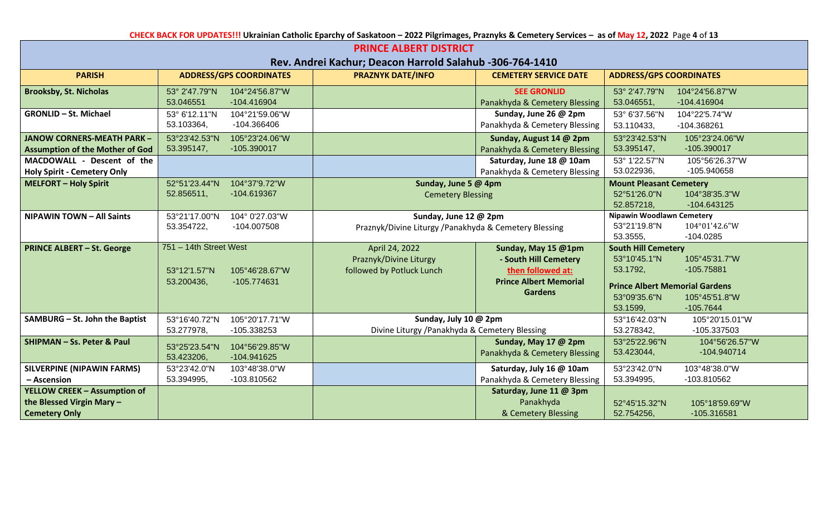**CHECK BACK FOR UPDATES!!! Ukrainian Catholic Eparchy of Saskatoon – 2022 Pilgrimages, Praznyks & Cemetery Services – as of May 12, 2022** Page **4** of **13**

| <b>PRINCE ALBERT DISTRICT</b>                                                            |                                                                                       |                                                                                |                                                                                                                      |                                                                                                                                                                                              |
|------------------------------------------------------------------------------------------|---------------------------------------------------------------------------------------|--------------------------------------------------------------------------------|----------------------------------------------------------------------------------------------------------------------|----------------------------------------------------------------------------------------------------------------------------------------------------------------------------------------------|
|                                                                                          |                                                                                       | Rev. Andrei Kachur; Deacon Harrold Salahub -306-764-1410                       |                                                                                                                      |                                                                                                                                                                                              |
| <b>PARISH</b>                                                                            | <b>ADDRESS/GPS COORDINATES</b>                                                        | <b>PRAZNYK DATE/INFO</b>                                                       | <b>CEMETERY SERVICE DATE</b>                                                                                         | <b>ADDRESS/GPS COORDINATES</b>                                                                                                                                                               |
| <b>Brooksby, St. Nicholas</b>                                                            | 53° 2'47.79"N<br>104°24'56.87"W<br>53.046551<br>-104.416904                           |                                                                                | <b>SEE GRONLID</b><br>Panakhyda & Cemetery Blessing                                                                  | 53° 2'47.79"N<br>104°24'56.87"W<br>53.046551,<br>-104.416904                                                                                                                                 |
| <b>GRONLID - St. Michael</b>                                                             | 53° 6'12.11"N<br>104°21'59.06"W<br>53.103364,<br>-104.366406                          |                                                                                | Sunday, June 26 @ 2pm<br>Panakhyda & Cemetery Blessing                                                               | 53° 6'37.56"N<br>104°22'5.74"W<br>53.110433,<br>-104.368261                                                                                                                                  |
| <b>JANOW CORNERS-MEATH PARK -</b><br><b>Assumption of the Mother of God</b>              | 53°23'42.53"N<br>105°23'24.06"W<br>53.395147,<br>-105.390017                          |                                                                                | Sunday, August 14 @ 2pm<br>Panakhyda & Cemetery Blessing                                                             | 53°23'42.53"N<br>105°23'24.06"W<br>53.395147,<br>-105.390017                                                                                                                                 |
| MACDOWALL - Descent of the<br><b>Holy Spirit - Cemetery Only</b>                         |                                                                                       |                                                                                | Saturday, June 18 @ 10am<br>Panakhyda & Cemetery Blessing                                                            | 53° 1'22.57"N<br>105°56'26.37"W<br>53.022936,<br>-105.940658                                                                                                                                 |
| <b>MELFORT - Holy Spirit</b>                                                             | 104°37'9.72"W<br>52°51'23.44"N<br>52.856511,<br>-104.619367                           | Sunday, June 5 @ 4pm<br><b>Cemetery Blessing</b>                               |                                                                                                                      | <b>Mount Pleasant Cemetery</b><br>52°51'26.0"N<br>104°38'35.3"W<br>52.857218,<br>-104.643125                                                                                                 |
| <b>NIPAWIN TOWN - All Saints</b>                                                         | 53°21'17.00"N<br>104° 0'27.03"W<br>53.354722,<br>-104.007508                          | Sunday, June 12 @ 2pm<br>Praznyk/Divine Liturgy /Panakhyda & Cemetery Blessing |                                                                                                                      | <b>Nipawin Woodlawn Cemetery</b><br>53°21'19.8"N<br>104°01'42.6"W<br>53.3555,<br>$-104.0285$                                                                                                 |
| <b>PRINCE ALBERT - St. George</b>                                                        | 751 - 14th Street West<br>105°46'28.67"W<br>53°12'1.57"N<br>-105.774631<br>53.200436, | April 24, 2022<br>Praznyk/Divine Liturgy<br>followed by Potluck Lunch          | Sunday, May 15 @1pm<br>- South Hill Cemetery<br>then followed at:<br><b>Prince Albert Memorial</b><br><b>Gardens</b> | <b>South Hill Cemetery</b><br>53°10'45.1"N<br>105°45'31.7"W<br>53.1792,<br>$-105.75881$<br><b>Prince Albert Memorial Gardens</b><br>53°09'35.6"N<br>105°45'51.8"W<br>53.1599,<br>$-105.7644$ |
| SAMBURG - St. John the Baptist                                                           | 53°16'40.72"N<br>105°20'17.71"W<br>53.277978,<br>-105.338253                          | Sunday, July 10 @ 2pm<br>Divine Liturgy / Panakhyda & Cemetery Blessing        |                                                                                                                      | 105°20'15.01"W<br>53°16'42.03"N<br>53.278342,<br>-105.337503                                                                                                                                 |
| SHIPMAN - Ss. Peter & Paul                                                               | 104°56'29.85"W<br>53°25'23.54"N<br>53.423206,<br>-104.941625                          |                                                                                | Sunday, May 17 @ 2pm<br>Panakhyda & Cemetery Blessing                                                                | 53°25'22.96"N<br>104°56'26.57"W<br>53.423044,<br>-104.940714                                                                                                                                 |
| <b>SILVERPINE (NIPAWIN FARMS)</b><br>- Ascension                                         | 53°23'42.0"N<br>103°48'38.0"W<br>53.394995,<br>-103.810562                            |                                                                                | Saturday, July 16 @ 10am<br>Panakhyda & Cemetery Blessing                                                            | 53°23'42.0"N<br>103°48'38.0"W<br>53.394995,<br>-103.810562                                                                                                                                   |
| <b>YELLOW CREEK - Assumption of</b><br>the Blessed Virgin Mary -<br><b>Cemetery Only</b> |                                                                                       |                                                                                | Saturday, June 11 @ 3pm<br>Panakhyda<br>& Cemetery Blessing                                                          | 52°45'15.32"N<br>105°18'59.69"W<br>52.754256,<br>-105.316581                                                                                                                                 |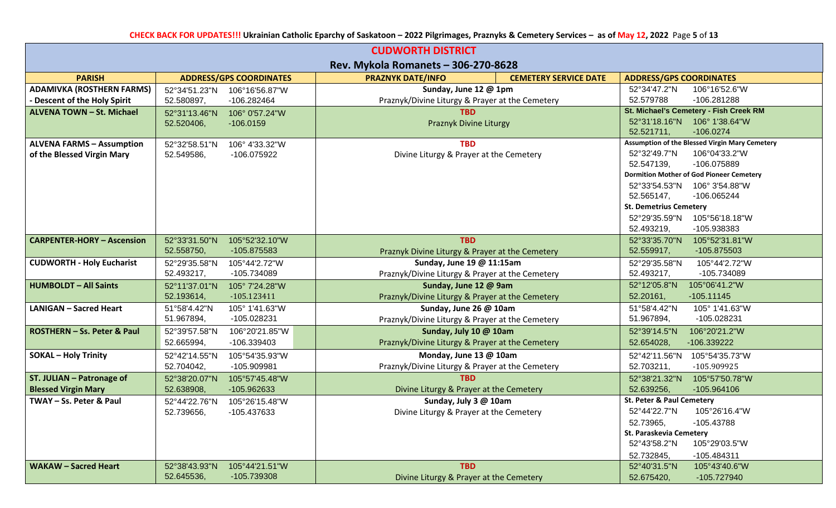| <b>CUDWORTH DISTRICT</b>               |                             |                                |                                                                          |                              |                                |                                                 |  |
|----------------------------------------|-----------------------------|--------------------------------|--------------------------------------------------------------------------|------------------------------|--------------------------------|-------------------------------------------------|--|
| Rev. Mykola Romanets - 306-270-8628    |                             |                                |                                                                          |                              |                                |                                                 |  |
| <b>PARISH</b>                          |                             | <b>ADDRESS/GPS COORDINATES</b> | <b>PRAZNYK DATE/INFO</b>                                                 | <b>CEMETERY SERVICE DATE</b> | <b>ADDRESS/GPS COORDINATES</b> |                                                 |  |
| <b>ADAMIVKA (ROSTHERN FARMS)</b>       | 52°34'51.23"N               | 106°16'56.87"W                 | Sunday, June 12 @ 1pm                                                    |                              | 52°34'47.2"N                   | 106°16'52.6"W                                   |  |
| <b>Descent of the Holy Spirit</b>      | 52.580897,                  | -106.282464                    | Praznyk/Divine Liturgy & Prayer at the Cemetery                          |                              | 52.579788                      | -106.281288                                     |  |
| ALVENA TOWN - St. Michael              | 52°31'13.46"N               | 106° 0'57.24"W                 | <b>TBD</b>                                                               |                              |                                | St. Michael's Cemetery - Fish Creek RM          |  |
|                                        | 52.520406,                  | $-106.0159$                    | Praznyk Divine Liturgy                                                   |                              | 52.521711,                     | 52°31'18.16"N 106° 1'38.64"W<br>$-106.0274$     |  |
| <b>ALVENA FARMS - Assumption</b>       | 52°32'58.51"N               | 106° 4'33.32"W                 | <b>TBD</b>                                                               |                              |                                | Assumption of the Blessed Virgin Mary Cemetery  |  |
| of the Blessed Virgin Mary             | 52.549586,                  | -106.075922                    | Divine Liturgy & Prayer at the Cemetery                                  |                              | 52°32′49.7″N                   | 106°04'33.2"W                                   |  |
|                                        |                             |                                |                                                                          |                              | 52.547139,                     | -106.075889                                     |  |
|                                        |                             |                                |                                                                          |                              |                                | <b>Dormition Mother of God Pioneer Cemetery</b> |  |
|                                        |                             |                                |                                                                          |                              | 52°33′54.53″N                  | 106° 3'54.88"W                                  |  |
|                                        |                             |                                |                                                                          |                              | 52.565147,                     | -106.065244                                     |  |
|                                        |                             |                                |                                                                          |                              | <b>St. Demetrius Cemetery</b>  |                                                 |  |
|                                        |                             |                                |                                                                          |                              | 52°29′35.59″N                  | 105°56'18.18"W                                  |  |
|                                        |                             |                                |                                                                          |                              | 52.493219,                     | -105.938383                                     |  |
| <b>CARPENTER-HORY - Ascension</b>      | 52°33'31.50"N               | 105°52'32.10"W                 | <b>TBD</b>                                                               |                              | 52°33'35.70"N                  | 105°52'31.81"W                                  |  |
|                                        | 52.558750,                  | -105.875583                    | Praznyk Divine Liturgy & Prayer at the Cemetery                          |                              | 52.559917,                     | -105.875503                                     |  |
| <b>CUDWORTH - Holy Eucharist</b>       | 52°29'35.58"N<br>52.493217, | 105°44'2.72"W<br>-105.734089   | Sunday, June 19 @ 11:15am                                                |                              | 52°29′35.58″N<br>52.493217,    | 105°44'2.72"W<br>-105.734089                    |  |
|                                        |                             | 105° 7'24.28"W                 | Praznyk/Divine Liturgy & Prayer at the Cemetery                          |                              | 52°12'05.8"N                   | 105°06'41.2"W                                   |  |
| <b>HUMBOLDT - All Saints</b>           | 52°11'37.01"N<br>52.193614, | $-105.123411$                  | Sunday, June 12 @ 9am<br>Praznyk/Divine Liturgy & Prayer at the Cemetery |                              | 52.20161,                      | $-105.11145$                                    |  |
| <b>LANIGAN - Sacred Heart</b>          | 51°58'4.42"N                | 105° 1'41.63"W                 | Sunday, June 26 @ 10am                                                   |                              | 51°58'4.42"N                   | 105° 1'41.63"W                                  |  |
|                                        | 51.967894,                  | -105.028231                    | Praznyk/Divine Liturgy & Prayer at the Cemetery                          |                              | 51.967894,                     | -105.028231                                     |  |
| <b>ROSTHERN - Ss. Peter &amp; Paul</b> | 52°39'57.58"N               | 106°20'21.85"W                 | Sunday, July 10 @ 10am                                                   |                              | 52°39'14.5"N                   | 106°20'21.2"W                                   |  |
|                                        | 52.665994,                  | -106.339403                    | Praznyk/Divine Liturgy & Prayer at the Cemetery                          |                              | 52.654028,                     | -106.339222                                     |  |
| <b>SOKAL - Holy Trinity</b>            | 52°42'14.55"N               | 105°54'35.93"W                 | Monday, June 13 @ 10am                                                   |                              | 52°42'11.56"N                  | 105°54'35.73"W                                  |  |
|                                        | 52.704042,                  | -105.909981                    | Praznyk/Divine Liturgy & Prayer at the Cemetery                          |                              | 52.703211,                     | -105.909925                                     |  |
| ST. JULIAN - Patronage of              | 52°38'20.07"N               | 105°57'45.48"W                 | TRD.                                                                     |                              | 52°38'21.32"N                  | 105°57'50.78"W                                  |  |
| <b>Blessed Virgin Mary</b>             | 52.638908,                  | -105.962633                    | Divine Liturgy & Prayer at the Cemetery                                  |                              | 52.639256,                     | -105.964106                                     |  |
| TWAY - Ss. Peter & Paul                | 52°44'22.76"N               | 105°26'15.48"W                 | Sunday, July 3 @ 10am                                                    |                              | St. Peter & Paul Cemetery      |                                                 |  |
|                                        | 52.739656,                  | -105.437633                    | Divine Liturgy & Prayer at the Cemetery                                  |                              | 52°44'22.7"N                   | 105°26'16.4"W                                   |  |
|                                        |                             |                                |                                                                          |                              | 52.73965,                      | -105.43788                                      |  |
|                                        |                             |                                |                                                                          |                              | St. Paraskevia Cemetery        |                                                 |  |
|                                        |                             |                                |                                                                          |                              | 52°43'58.2"N                   | 105°29'03.5"W                                   |  |
|                                        |                             |                                |                                                                          |                              | 52.732845,                     | -105.484311                                     |  |
| <b>WAKAW - Sacred Heart</b>            | 52°38'43.93"N               | 105°44'21.51"W                 | <b>TBD</b>                                                               |                              | 52°40'31.5"N                   | 105°43'40.6"W                                   |  |
|                                        | 52.645536,                  | -105.739308                    | Divine Liturgy & Prayer at the Cemetery                                  |                              | 52.675420,                     | -105.727940                                     |  |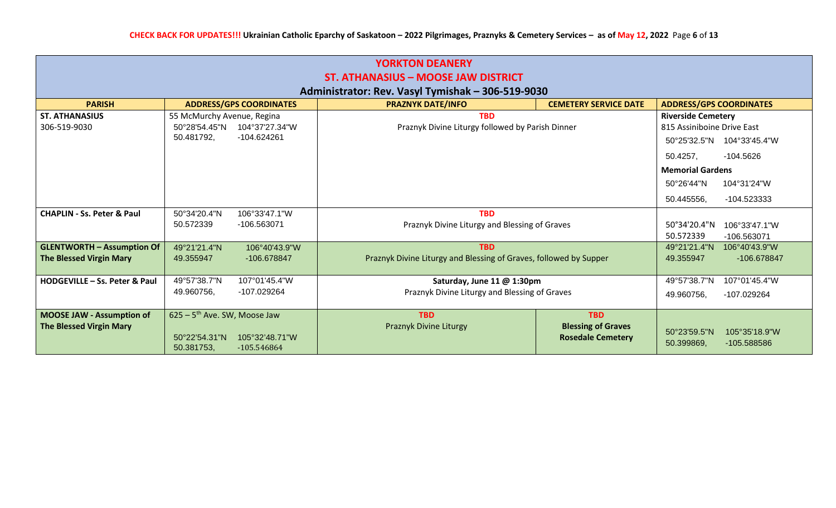| <b>YORKTON DEANERY</b>                                                                   |                                            |                                 |                                                                   |                                                       |                                |                              |
|------------------------------------------------------------------------------------------|--------------------------------------------|---------------------------------|-------------------------------------------------------------------|-------------------------------------------------------|--------------------------------|------------------------------|
| ST. ATHANASIUS - MOOSE JAW DISTRICT<br>Administrator: Rev. Vasyl Tymishak – 306-519-9030 |                                            |                                 |                                                                   |                                                       |                                |                              |
| <b>PARISH</b>                                                                            | <b>ADDRESS/GPS COORDINATES</b>             |                                 | <b>PRAZNYK DATE/INFO</b>                                          | <b>CEMETERY SERVICE DATE</b>                          | <b>ADDRESS/GPS COORDINATES</b> |                              |
| <b>ST. ATHANASIUS</b>                                                                    | 55 McMurchy Avenue, Regina                 |                                 | <b>TBD</b>                                                        |                                                       | <b>Riverside Cemetery</b>      |                              |
| 306-519-9030                                                                             | 50°28′54.45″N                              | 104°37'27.34"W                  | Praznyk Divine Liturgy followed by Parish Dinner                  |                                                       | 815 Assiniboine Drive East     |                              |
|                                                                                          | -104.624261<br>50.481792,                  |                                 |                                                                   |                                                       |                                | 50°25′32.5″N 104°33′45.4″W   |
|                                                                                          |                                            |                                 |                                                                   |                                                       | 50.4257,                       | $-104.5626$                  |
|                                                                                          |                                            |                                 |                                                                   |                                                       | <b>Memorial Gardens</b>        |                              |
|                                                                                          |                                            |                                 |                                                                   |                                                       | 50°26'44"N                     | 104°31'24"W                  |
|                                                                                          |                                            |                                 |                                                                   |                                                       | 50.445556,                     | -104.523333                  |
| <b>CHAPLIN - Ss. Peter &amp; Paul</b>                                                    | 50°34'20.4"N                               | 106°33'47.1"W                   | <b>TBD</b>                                                        |                                                       |                                |                              |
|                                                                                          | 50.572339<br>-106.563071                   |                                 | Praznyk Divine Liturgy and Blessing of Graves                     |                                                       | 50°34'20.4"N                   | 106°33'47.1"W                |
|                                                                                          |                                            |                                 |                                                                   |                                                       | 50.572339                      | -106.563071                  |
| <b>GLENTWORTH - Assumption Of</b>                                                        | 49°21'21.4"N                               | 106°40'43.9"W                   | <b>TBD</b>                                                        |                                                       | 49°21'21.4"N                   | 106°40'43.9"W                |
| <b>The Blessed Virgin Mary</b>                                                           | 49.355947                                  | -106.678847                     | Praznyk Divine Liturgy and Blessing of Graves, followed by Supper |                                                       | 49.355947                      | -106.678847                  |
|                                                                                          |                                            |                                 |                                                                   |                                                       |                                |                              |
| HODGEVILLE - Ss. Peter & Paul                                                            | 49°57'38.7"N                               | 107°01'45.4"W                   | Saturday, June 11 @ 1:30pm                                        |                                                       | 49°57'38.7"N                   | 107°01'45.4"W                |
|                                                                                          | 49.960756,                                 | -107.029264                     | Praznyk Divine Liturgy and Blessing of Graves                     |                                                       | 49.960756,                     | -107.029264                  |
| <b>MOOSE JAW - Assumption of</b>                                                         | $625 - 5$ <sup>th</sup> Ave. SW, Moose Jaw |                                 | <b>TBD</b>                                                        | <b>TBD</b>                                            |                                |                              |
| <b>The Blessed Virgin Mary</b>                                                           | 50°22'54.31"N<br>50.381753,                | 105°32'48.71"W<br>$-105.546864$ | Praznyk Divine Liturgy                                            | <b>Blessing of Graves</b><br><b>Rosedale Cemetery</b> | 50°23'59.5"N<br>50.399869,     | 105°35'18.9"W<br>-105.588586 |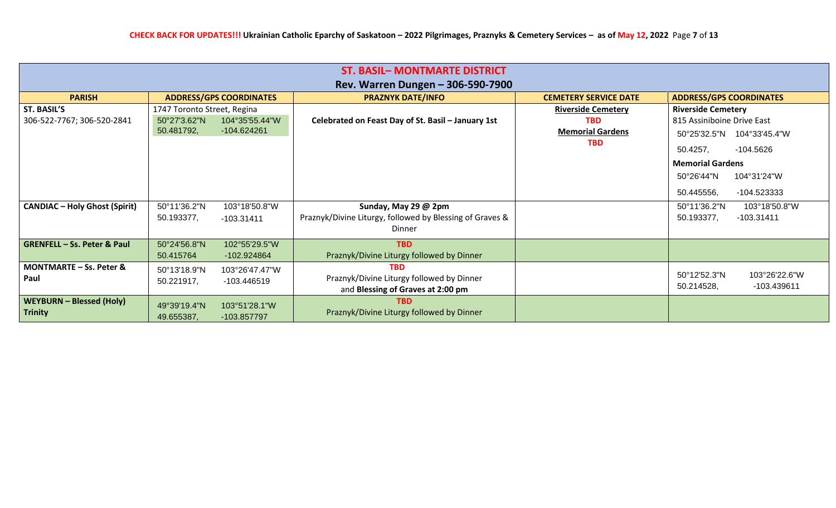|                                                   |                                                           |                                 | <b>ST. BASIL- MONTMARTE DISTRICT</b>                                                         |                                                                                  |                                                                                                                                                |  |  |
|---------------------------------------------------|-----------------------------------------------------------|---------------------------------|----------------------------------------------------------------------------------------------|----------------------------------------------------------------------------------|------------------------------------------------------------------------------------------------------------------------------------------------|--|--|
| Rev. Warren Dungen - 306-590-7900                 |                                                           |                                 |                                                                                              |                                                                                  |                                                                                                                                                |  |  |
| <b>PARISH</b>                                     |                                                           | <b>ADDRESS/GPS COORDINATES</b>  | <b>PRAZNYK DATE/INFO</b>                                                                     | <b>CEMETERY SERVICE DATE</b>                                                     | <b>ADDRESS/GPS COORDINATES</b>                                                                                                                 |  |  |
| ST. BASIL'S<br>306-522-7767; 306-520-2841         | 1747 Toronto Street, Regina<br>50°27'3.62"N<br>50.481792, | 104°35'55.44"W<br>$-104.624261$ | Celebrated on Feast Day of St. Basil - January 1st                                           | <b>Riverside Cemetery</b><br><b>TBD</b><br><b>Memorial Gardens</b><br><b>TBD</b> | <b>Riverside Cemetery</b><br>815 Assiniboine Drive East<br>50°25′32.5″N<br>104°33'45.4"W<br>50.4257,<br>$-104.5626$<br><b>Memorial Gardens</b> |  |  |
|                                                   |                                                           |                                 |                                                                                              |                                                                                  | 104°31'24"W<br>50°26'44"N<br>-104.523333<br>50.445556,                                                                                         |  |  |
| <b>CANDIAC - Holy Ghost (Spirit)</b>              | 50°11'36.2"N<br>50.193377,                                | 103°18'50.8"W<br>$-103.31411$   | Sunday, May 29 @ 2pm<br>Praznyk/Divine Liturgy, followed by Blessing of Graves &<br>Dinner   |                                                                                  | 103°18'50.8"W<br>50°11'36.2"N<br>$-103.31411$<br>50.193377,                                                                                    |  |  |
| <b>GRENFELL - Ss. Peter &amp; Paul</b>            | 50°24'56.8"N<br>50.415764                                 | 102°55'29.5"W<br>-102.924864    | <b>TBD</b><br>Praznyk/Divine Liturgy followed by Dinner                                      |                                                                                  |                                                                                                                                                |  |  |
| <b>MONTMARTE – Ss. Peter &amp;</b><br>Paul        | 50°13'18.9"N<br>50.221917,                                | 103°26'47.47"W<br>-103.446519   | <b>TBD</b><br>Praznyk/Divine Liturgy followed by Dinner<br>and Blessing of Graves at 2:00 pm |                                                                                  | 50°12'52.3"N<br>103°26'22.6"W<br>50.214528,<br>-103.439611                                                                                     |  |  |
| <b>WEYBURN - Blessed (Holy)</b><br><b>Trinity</b> | 49°39'19.4"N<br>49.655387,                                | 103°51'28.1"W<br>-103.857797    | <b>TBD</b><br>Praznyk/Divine Liturgy followed by Dinner                                      |                                                                                  |                                                                                                                                                |  |  |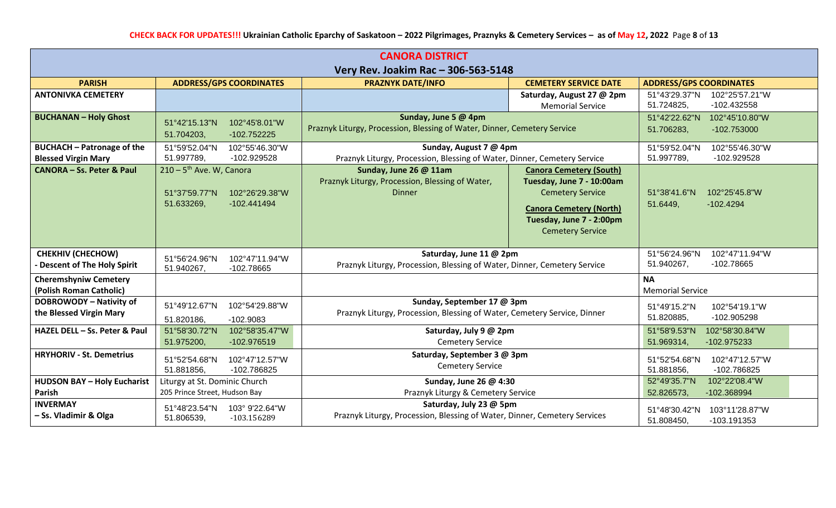| <b>CANORA DISTRICT</b>                                          |                                                                                                        |                                                                                                        |                                                                                                                                                                                 |                                                                |
|-----------------------------------------------------------------|--------------------------------------------------------------------------------------------------------|--------------------------------------------------------------------------------------------------------|---------------------------------------------------------------------------------------------------------------------------------------------------------------------------------|----------------------------------------------------------------|
|                                                                 |                                                                                                        | Very Rev. Joakim Rac - 306-563-5148                                                                    |                                                                                                                                                                                 |                                                                |
| <b>PARISH</b>                                                   | <b>ADDRESS/GPS COORDINATES</b>                                                                         | <b>PRAZNYK DATE/INFO</b>                                                                               | <b>CEMETERY SERVICE DATE</b>                                                                                                                                                    | <b>ADDRESS/GPS COORDINATES</b>                                 |
| <b>ANTONIVKA CEMETERY</b>                                       |                                                                                                        |                                                                                                        | Saturday, August 27 @ 2pm<br><b>Memorial Service</b>                                                                                                                            | 51°43'29.37"N<br>102°25'57.21"W<br>51.724825,<br>-102.432558   |
| <b>BUCHANAN - Holy Ghost</b>                                    | 51°42'15.13"N<br>102°45'8.01"W<br>51.704203,<br>$-102.752225$                                          | Sunday, June 5 @ 4pm<br>Praznyk Liturgy, Procession, Blessing of Water, Dinner, Cemetery Service       |                                                                                                                                                                                 | 51°42'22.62"N<br>102°45'10.80"W<br>51.706283,<br>$-102.753000$ |
| <b>BUCHACH - Patronage of the</b><br><b>Blessed Virgin Mary</b> | 102°55'46.30"W<br>51°59'52.04"N<br>51.997789,<br>-102.929528                                           | Sunday, August 7 @ 4pm<br>Praznyk Liturgy, Procession, Blessing of Water, Dinner, Cemetery Service     |                                                                                                                                                                                 | 51°59'52.04"N<br>102°55'46.30"W<br>51.997789,<br>-102.929528   |
| <b>CANORA - Ss. Peter &amp; Paul</b>                            | $210 - 5$ <sup>th</sup> Ave. W, Canora<br>51°37'59.77"N<br>102°26'29.38"W<br>51.633269,<br>-102.441494 | Sunday, June 26 @ 11am<br>Praznyk Liturgy, Procession, Blessing of Water,<br><b>Dinner</b>             | <b>Canora Cemetery (South)</b><br>Tuesday, June 7 - 10:00am<br><b>Cemetery Service</b><br><b>Canora Cemetery (North)</b><br>Tuesday, June 7 - 2:00pm<br><b>Cemetery Service</b> | 51°38'41.6"N<br>102°25'45.8"W<br>51.6449,<br>$-102.4294$       |
| <b>CHEKHIV (CHECHOW)</b><br>- Descent of The Holy Spirit        | 51°56'24.96"N<br>102°47'11.94"W<br>51.940267,<br>-102.78665                                            | Saturday, June 11 @ 2pm<br>Praznyk Liturgy, Procession, Blessing of Water, Dinner, Cemetery Service    |                                                                                                                                                                                 | 51°56'24.96"N<br>102°47'11.94"W<br>51.940267,<br>-102.78665    |
| <b>Cheremshyniw Cemetery</b><br>(Polish Roman Catholic)         |                                                                                                        |                                                                                                        |                                                                                                                                                                                 | <b>NA</b><br><b>Memorial Service</b>                           |
| <b>DOBROWODY - Nativity of</b><br>the Blessed Virgin Mary       | 51°49'12.67"N<br>102°54'29.88"W<br>51.820186,<br>$-102.9083$                                           | Sunday, September 17 @ 3pm<br>Praznyk Liturgy, Procession, Blessing of Water, Cemetery Service, Dinner |                                                                                                                                                                                 | 102°54'19.1"W<br>51°49'15.2"N<br>-102.905298<br>51.820885,     |
| HAZEL DELL - Ss. Peter & Paul                                   | 51°58'30.72"N<br>102°58'35.47"W<br>51.975200,<br>-102.976519                                           | Saturday, July 9 @ 2pm<br><b>Cemetery Service</b>                                                      |                                                                                                                                                                                 | 51°58'9.53"N<br>102°58'30.84"W<br>51.969314,<br>-102.975233    |
| <b>HRYHORIV - St. Demetrius</b>                                 | 51°52'54.68"N<br>102°47'12.57"W<br>51.881856,<br>-102.786825                                           | Saturday, September 3 @ 3pm<br><b>Cemetery Service</b>                                                 |                                                                                                                                                                                 | 51°52'54.68"N<br>102°47'12.57"W<br>51.881856,<br>-102.786825   |
| <b>HUDSON BAY - Holy Eucharist</b><br>Parish                    | Liturgy at St. Dominic Church<br>205 Prince Street, Hudson Bay                                         | Sunday, June 26 @ 4:30<br>Praznyk Liturgy & Cemetery Service                                           |                                                                                                                                                                                 | 52°49'35.7"N<br>102°22'08.4"W<br>52.826573,<br>-102.368994     |
| <b>INVERMAY</b><br>- Ss. Vladimir & Olga                        | 51°48'23.54"N<br>103° 9'22.64"W<br>51.806539,<br>-103.156289                                           | Saturday, July 23 @ 5pm<br>Praznyk Liturgy, Procession, Blessing of Water, Dinner, Cemetery Services   |                                                                                                                                                                                 | 51°48'30.42"N<br>103°11'28.87"W<br>51.808450,<br>$-103.191353$ |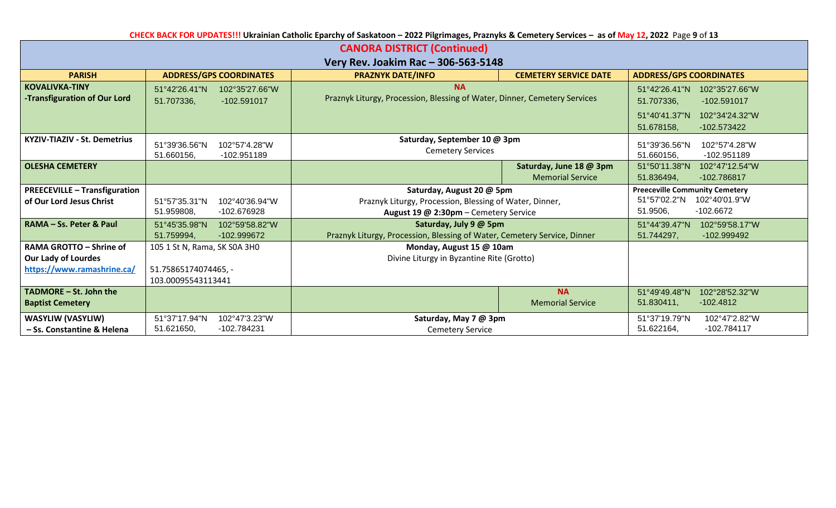|  | CHECK BACK FOR UPDATES!!! Ukrainian Catholic Eparchy of Saskatoon - 2022 Pilgrimages, Praznyks & Cemetery Services - as of May 12, 2022 Page 9 of 13 |  |  |  |  |  |
|--|------------------------------------------------------------------------------------------------------------------------------------------------------|--|--|--|--|--|
|--|------------------------------------------------------------------------------------------------------------------------------------------------------|--|--|--|--|--|

| <b>CANORA DISTRICT (Continued)</b>                     |                                                                |                                                                                                    |                                                    |                                                                |  |  |  |
|--------------------------------------------------------|----------------------------------------------------------------|----------------------------------------------------------------------------------------------------|----------------------------------------------------|----------------------------------------------------------------|--|--|--|
|                                                        | Very Rev. Joakim Rac - 306-563-5148                            |                                                                                                    |                                                    |                                                                |  |  |  |
| <b>PARISH</b>                                          | <b>ADDRESS/GPS COORDINATES</b>                                 | <b>PRAZNYK DATE/INFO</b>                                                                           | <b>CEMETERY SERVICE DATE</b>                       | <b>ADDRESS/GPS COORDINATES</b>                                 |  |  |  |
| <b>KOVALIVKA-TINY</b><br>-Transfiguration of Our Lord  | 102°35'27.66"W<br>51°42'26.41"N<br>51.707336,<br>$-102.591017$ | <b>NA</b><br>Praznyk Liturgy, Procession, Blessing of Water, Dinner, Cemetery Services             |                                                    | 51°42'26.41"N<br>102°35'27.66"W<br>51.707336,<br>-102.591017   |  |  |  |
|                                                        |                                                                |                                                                                                    |                                                    | 51°40'41.37"N<br>102°34'24.32"W<br>51.678158,<br>$-102.573422$ |  |  |  |
| <b>KYZIV-TIAZIV - St. Demetrius</b>                    | 51°39'36.56"N<br>102°57'4.28"W<br>51.660156,<br>-102.951189    | Saturday, September 10 @ 3pm<br><b>Cemetery Services</b>                                           |                                                    | 51°39'36.56"N<br>102°57'4.28"W<br>51.660156,<br>-102.951189    |  |  |  |
| <b>OLESHA CEMETERY</b>                                 |                                                                |                                                                                                    | Saturday, June 18 @ 3pm<br><b>Memorial Service</b> | 51°50'11.38"N<br>102°47'12.54"W<br>51.836494,<br>-102.786817   |  |  |  |
| <b>PREECEVILLE - Transfiguration</b>                   |                                                                | Saturday, August 20 @ 5pm                                                                          |                                                    | <b>Preeceville Community Cemetery</b>                          |  |  |  |
| of Our Lord Jesus Christ                               | 51°57'35.31"N<br>102°40'36.94"W<br>51.959808,<br>-102.676928   | Praznyk Liturgy, Procession, Blessing of Water, Dinner,<br>August 19 @ 2:30pm - Cemetery Service   |                                                    | 51°57'02.2"N<br>102°40'01.9"W<br>51.9506,<br>-102.6672         |  |  |  |
| RAMA - Ss. Peter & Paul                                | 51°45'35.98"N<br>102°59'58.82"W<br>-102.999672<br>51.759994,   | Saturday, July 9 @ 5pm<br>Praznyk Liturgy, Procession, Blessing of Water, Cemetery Service, Dinner |                                                    | 51°44'39.47"N<br>102°59'58.17"W<br>51.744297,<br>-102.999492   |  |  |  |
| RAMA GROTTO - Shrine of                                | 105 1 St N, Rama, SK S0A 3H0                                   | Monday, August 15 @ 10am                                                                           |                                                    |                                                                |  |  |  |
| <b>Our Lady of Lourdes</b>                             |                                                                | Divine Liturgy in Byzantine Rite (Grotto)                                                          |                                                    |                                                                |  |  |  |
| https://www.ramashrine.ca/                             | 51.75865174074465, -<br>103.00095543113441                     |                                                                                                    |                                                    |                                                                |  |  |  |
| TADMORE - St. John the<br><b>Baptist Cemetery</b>      |                                                                |                                                                                                    | <b>NA</b><br><b>Memorial Service</b>               | 102°28'52.32"W<br>51°49'49.48"N<br>51.830411,<br>$-102.4812$   |  |  |  |
| <b>WASYLIW (VASYLIW)</b><br>- Ss. Constantine & Helena | 51°37'17.94"N<br>102°47'3.23"W<br>51.621650,<br>-102.784231    | Saturday, May 7 @ 3pm<br><b>Cemetery Service</b>                                                   |                                                    | 51°37'19.79"N<br>102°47'2.82"W<br>51.622164,<br>$-102.784117$  |  |  |  |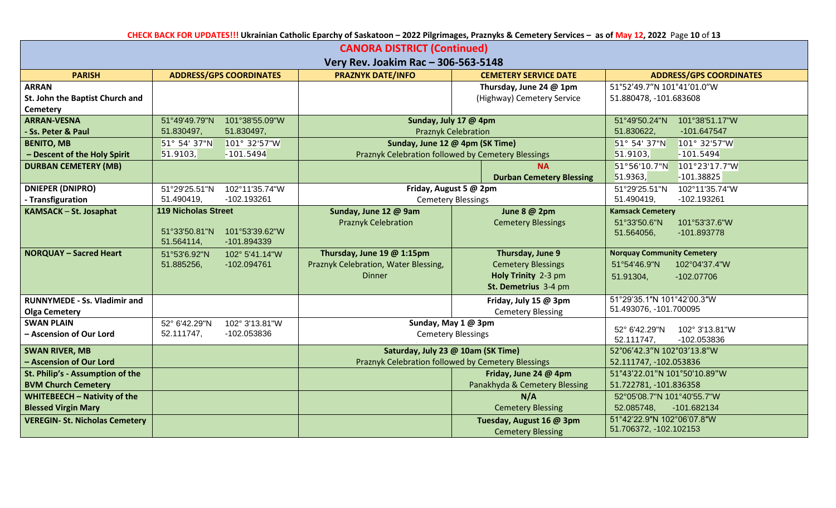**CHECK BACK FOR UPDATES!!! Ukrainian Catholic Eparchy of Saskatoon – 2022 Pilgrimages, Praznyks & Cemetery Services – as of May 12, 2022** Page **10** of **13**

| <b>CANORA DISTRICT (Continued)</b>    |                            |                                |                                      |                                                    |                                   |
|---------------------------------------|----------------------------|--------------------------------|--------------------------------------|----------------------------------------------------|-----------------------------------|
|                                       |                            |                                | Very Rev. Joakim Rac - 306-563-5148  |                                                    |                                   |
| <b>PARISH</b>                         |                            | <b>ADDRESS/GPS COORDINATES</b> | <b>PRAZNYK DATE/INFO</b>             | <b>CEMETERY SERVICE DATE</b>                       | <b>ADDRESS/GPS COORDINATES</b>    |
| <b>ARRAN</b>                          |                            |                                |                                      | Thursday, June 24 @ 1pm                            | 51°52'49.7"N 101°41'01.0"W        |
| St. John the Baptist Church and       |                            |                                |                                      | (Highway) Cemetery Service                         | 51.880478, -101.683608            |
| <b>Cemetery</b>                       |                            |                                |                                      |                                                    |                                   |
| <b>ARRAN-VESNA</b>                    | 51°49'49.79"N              | 101°38'55.09"W                 | Sunday, July 17 @ 4pm                |                                                    | 51°49'50.24"N<br>101°38'51.17"W   |
| <b>Ss. Peter &amp; Paul</b>           | 51.830497,                 | 51.830497,                     | <b>Praznyk Celebration</b>           |                                                    | 51.830622,<br>-101.647547         |
| <b>BENITO, MB</b>                     | 51° 54' 37"N               | 101° 32'57"W                   | Sunday, June 12 @ 4pm (SK Time)      |                                                    | 101° 32'57"W<br>51° 54' 37"N      |
| - Descent of the Holy Spirit          | 51.9103,                   | $-101.5494$                    |                                      | Praznyk Celebration followed by Cemetery Blessings | 51.9103,<br>$-101.5494$           |
| <b>DURBAN CEMETERY (MB)</b>           |                            |                                |                                      | <b>NA</b>                                          | 101°23'17.7"W<br>51°56'10.7"N     |
|                                       |                            |                                |                                      | <b>Durban Cemetery Blessing</b>                    | 51.9363,<br>$-101.38825$          |
| <b>DNIEPER (DNIPRO)</b>               | 51°29'25.51"N              | 102°11'35.74"W                 | Friday, August 5 @ 2pm               |                                                    | 51°29'25.51"N<br>102°11'35.74"W   |
| - Transfiguration                     | 51.490419,                 | -102.193261                    | <b>Cemetery Blessings</b>            |                                                    | -102.193261<br>51.490419,         |
| KAMSACK - St. Josaphat                | <b>119 Nicholas Street</b> |                                | Sunday, June 12 @ 9am                | June 8 @ 2pm                                       | <b>Kamsack Cemetery</b>           |
|                                       |                            |                                | <b>Praznyk Celebration</b>           | <b>Cemetery Blessings</b>                          | 51°33'50.6"N<br>101°53'37.6"W     |
|                                       | 51°33'50.81"N              | 101°53'39.62"W                 |                                      |                                                    | 51.564056,<br>-101.893778         |
|                                       | 51.564114,                 | -101.894339                    |                                      |                                                    |                                   |
| <b>NORQUAY - Sacred Heart</b>         | 51°53'6.92"N               | 102° 5'41.14"W                 | Thursday, June 19 @ 1:15pm           | Thursday, June 9                                   | <b>Norquay Community Cemetery</b> |
|                                       | 51.885256,                 | -102.094761                    | Praznyk Celebration, Water Blessing, | <b>Cemetery Blessings</b>                          | 51°54'46.9"N<br>102°04'37.4"W     |
|                                       |                            |                                | <b>Dinner</b>                        | Holy Trinity 2-3 pm                                | $-102.07706$<br>51.91304,         |
|                                       |                            |                                |                                      | St. Demetrius 3-4 pm                               |                                   |
| <b>RUNNYMEDE - Ss. Vladimir and</b>   |                            |                                |                                      | Friday, July 15 @ 3pm                              | 51°29'35.1"N 101°42'00.3"W        |
| <b>Olga Cemetery</b>                  |                            |                                |                                      | <b>Cemetery Blessing</b>                           | 51.493076, -101.700095            |
| <b>SWAN PLAIN</b>                     | 52° 6'42.29"N              | 102° 3'13.81"W                 | Sunday, May 1 @ 3pm                  |                                                    | 52° 6'42.29"N<br>102° 3'13.81"W   |
| - Ascension of Our Lord               | 52.111747,                 | -102.053836                    |                                      | <b>Cemetery Blessings</b>                          | 52.111747,<br>-102.053836         |
| <b>SWAN RIVER, MB</b>                 |                            |                                | Saturday, July 23 @ 10am (SK Time)   |                                                    | 52°06'42.3"N 102°03'13.8"W        |
| - Ascension of Our Lord               |                            |                                |                                      | Praznyk Celebration followed by Cemetery Blessings | 52.111747, -102.053836            |
| St. Philip's - Assumption of the      |                            |                                |                                      | Friday, June 24 @ 4pm                              | 51°43'22.01"N 101°50'10.89"W      |
| <b>BVM Church Cemetery</b>            |                            |                                |                                      | Panakhyda & Cemetery Blessing                      | 51.722781, -101.836358            |
| WHITEBEECH - Nativity of the          |                            |                                |                                      | N/A                                                | 52°05'08.7"N 101°40'55.7"W        |
| <b>Blessed Virgin Mary</b>            |                            |                                |                                      | <b>Cemetery Blessing</b>                           | 52.085748,<br>-101.682134         |
| <b>VEREGIN- St. Nicholas Cemetery</b> |                            |                                |                                      | Tuesday, August 16 @ 3pm                           | 51°42'22.9"N 102°06'07.8"W        |
|                                       |                            |                                |                                      | <b>Cemetery Blessing</b>                           | 51.706372, -102.102153            |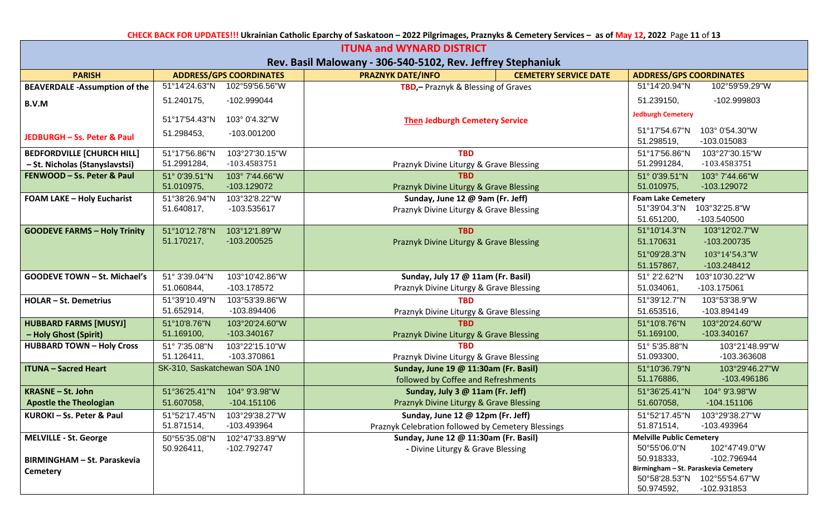**CHECK BACK FOR UPDATES!!! Ukrainian Catholic Eparchy of Saskatoon – 2022 Pilgrimages, Praznyks & Cemetery Services – as of May 12, 2022** Page **11** of **13**

| <b>ITUNA and WYNARD DISTRICT</b>     |                                                              |                                                                              |                                                              |  |  |  |  |
|--------------------------------------|--------------------------------------------------------------|------------------------------------------------------------------------------|--------------------------------------------------------------|--|--|--|--|
|                                      | Rev. Basil Malowany - 306-540-5102, Rev. Jeffrey Stephaniuk  |                                                                              |                                                              |  |  |  |  |
| <b>PARISH</b>                        | <b>ADDRESS/GPS COORDINATES</b>                               | <b>PRAZNYK DATE/INFO</b><br><b>CEMETERY SERVICE DATE</b>                     | <b>ADDRESS/GPS COORDINATES</b>                               |  |  |  |  |
| <b>BEAVERDALE -Assumption of the</b> | 51°14'24.63"N<br>102°59'56.56"W                              | TBD, - Praznyk & Blessing of Graves                                          | 51°14'20.94"N<br>102°59'59.29"W                              |  |  |  |  |
| B.V.M                                | 51.240175,<br>-102.999044                                    |                                                                              | 51.239150,<br>-102.999803                                    |  |  |  |  |
|                                      | 103° 0'4.32"W<br>51°17′54.43″N                               | <b>Then Jedburgh Cemetery Service</b>                                        | <b>Jedburgh Cemetery</b>                                     |  |  |  |  |
| JEDBURGH - Ss. Peter & Paul          | 51.298453,<br>-103.001200                                    |                                                                              | 51°17'54.67"N<br>103° 0'54.30"W<br>51.298519,<br>-103.015083 |  |  |  |  |
| <b>BEDFORDVILLE [CHURCH HILL]</b>    | 103°27'30.15"W<br>51°17'56.86"N                              | <b>TBD</b>                                                                   | 103°27'30.15"W<br>51°17'56.86"N                              |  |  |  |  |
| - St. Nicholas (Stanyslavstsi)       | 51.2991284,<br>-103.4583751                                  | Praznyk Divine Liturgy & Grave Blessing                                      | 51.2991284,<br>-103.4583751                                  |  |  |  |  |
| FENWOOD - Ss. Peter & Paul           | 103° 7'44.66"W<br>51° 0'39.51"N<br>51.010975,<br>-103.129072 | TBD<br>Praznyk Divine Liturgy & Grave Blessing                               | 103° 7'44.66"W<br>51° 0'39.51"N<br>51.010975,<br>-103.129072 |  |  |  |  |
| <b>FOAM LAKE - Holy Eucharist</b>    | 51°38'26.94"N<br>103°32'8.22"W                               | Sunday, June 12 @ 9am (Fr. Jeff)                                             | <b>Foam Lake Cemetery</b>                                    |  |  |  |  |
|                                      | 51.640817,<br>-103.535617                                    | Praznyk Divine Liturgy & Grave Blessing                                      | 51°39'04.3"N<br>103°32'25.8"W                                |  |  |  |  |
|                                      |                                                              |                                                                              | 51.651200,<br>-103.540500                                    |  |  |  |  |
| <b>GOODEVE FARMS - Holy Trinity</b>  | 103°12'1.89"W<br>51°10'12.78"N                               | <b>TBD</b>                                                                   | 51°10'14.3"N<br>103°12'02.7"W                                |  |  |  |  |
|                                      | 51.170217,<br>-103.200525                                    | Praznyk Divine Liturgy & Grave Blessing                                      | 51.170631<br>-103.200735                                     |  |  |  |  |
|                                      |                                                              |                                                                              | 51°09'28.3"N<br>103°14'54.3"W                                |  |  |  |  |
|                                      |                                                              |                                                                              | 51.157867,<br>-103.248412                                    |  |  |  |  |
| <b>GOODEVE TOWN - St. Michael's</b>  | 51° 3'39.04"N<br>103°10'42.86"W                              | Sunday, July 17 @ 11am (Fr. Basil)                                           | 51° 2'2.62"N<br>103°10'30.22"W                               |  |  |  |  |
|                                      | 51.060844,<br>-103.178572                                    | Praznyk Divine Liturgy & Grave Blessing                                      | 51.034061,<br>-103.175061                                    |  |  |  |  |
| <b>HOLAR-St. Demetrius</b>           | 51°39'10.49"N<br>103°53'39.86"W                              | <b>TBD</b>                                                                   | 51°39'12.7"N<br>103°53'38.9"W                                |  |  |  |  |
|                                      | 51.652914,<br>-103.894406                                    | Praznyk Divine Liturgy & Grave Blessing                                      | 51.653516,<br>-103.894149                                    |  |  |  |  |
| <b>HUBBARD FARMS [MUSYJ]</b>         | 51°10'8.76"N<br>103°20'24.60"W                               | <b>TBD</b>                                                                   | 51°10'8.76"N<br>103°20'24.60"W                               |  |  |  |  |
| - Holy Ghost (Spirit)                | 51.169100,<br>-103.340167                                    | Praznyk Divine Liturgy & Grave Blessing                                      | 51.169100,<br>-103.340167                                    |  |  |  |  |
| <b>HUBBARD TOWN - Holy Cross</b>     | 51° 7'35.08"N<br>103°22'15.10"W                              | <b>TRD</b>                                                                   | 51° 5'35.88"N<br>103°21'48.99"W                              |  |  |  |  |
|                                      | -103.370861<br>51.126411,                                    | Praznyk Divine Liturgy & Grave Blessing                                      | 51.093300,<br>-103.363608                                    |  |  |  |  |
| <b>ITUNA - Sacred Heart</b>          | SK-310, Saskatchewan S0A 1N0                                 | Sunday, June 19 @ 11:30am (Fr. Basil)<br>followed by Coffee and Refreshments | 51°10'36.79"N<br>103°29'46.27"W<br>51.176886,<br>-103.496186 |  |  |  |  |
| <b>KRASNE - St. John</b>             | 51°36'25.41"N<br>104° 9'3.98"W                               | Sunday, July 3 @ 11am (Fr. Jeff)                                             | 51°36'25.41"N<br>104° 9'3.98"W                               |  |  |  |  |
| <b>Apostle the Theologian</b>        | 51.607058,<br>$-104.151106$                                  | Praznyk Divine Liturgy & Grave Blessing                                      | 51.607058,<br>$-104.151106$                                  |  |  |  |  |
| KUROKI - Ss. Peter & Paul            | 51°52'17.45"N<br>103°29'38.27"W                              | Sunday, June 12 @ 12pm (Fr. Jeff)                                            | 51°52'17.45"N<br>103°29'38.27"W                              |  |  |  |  |
|                                      | 51.871514,<br>-103.493964                                    | Praznyk Celebration followed by Cemetery Blessings                           | -103.493964<br>51.871514,                                    |  |  |  |  |
| <b>MELVILLE - St. George</b>         | 50°55'35.08"N<br>102°47'33.89"W                              | Sunday, June 12 @ 11:30am (Fr. Basil)                                        | <b>Melville Public Cemetery</b>                              |  |  |  |  |
|                                      | 50.926411,<br>-102.792747                                    | - Divine Liturgy & Grave Blessing                                            | 50°55'06.0"N<br>102°47'49.0"W                                |  |  |  |  |
| <b>BIRMINGHAM - St. Paraskevia</b>   |                                                              |                                                                              | 50.918333,<br>-102.796944                                    |  |  |  |  |
| Cemetery                             |                                                              |                                                                              | Birmingham - St. Paraskevia Cemetery                         |  |  |  |  |
|                                      |                                                              |                                                                              | 50°58'28.53"N 102°55'54.67"W<br>50.974592,<br>-102.931853    |  |  |  |  |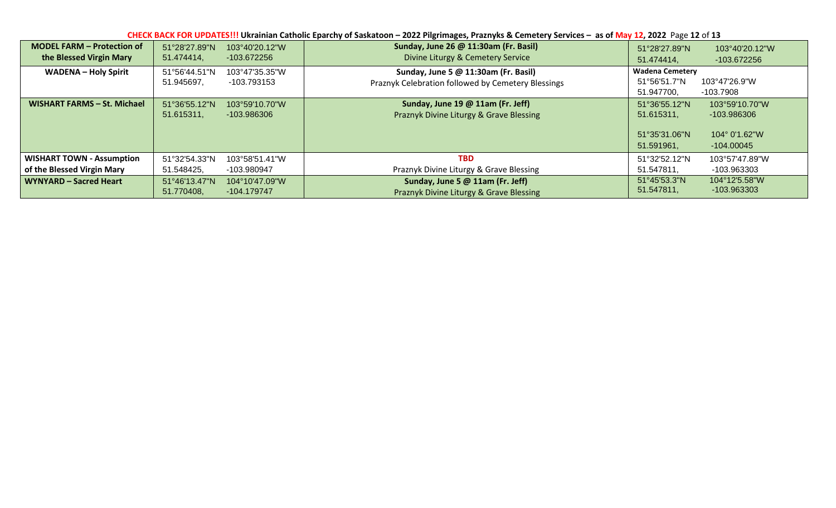| CHECK BACK FOR UPDATES!!! Ukrainian Catholic Eparchy of Saskatoon - 2022 Pilgrimages, Praznyks & Cemetery Services - as of May 12, 2022 Page 12 of 13 |                             |                               |                                                                                            |                                                            |                                                                         |  |  |  |  |
|-------------------------------------------------------------------------------------------------------------------------------------------------------|-----------------------------|-------------------------------|--------------------------------------------------------------------------------------------|------------------------------------------------------------|-------------------------------------------------------------------------|--|--|--|--|
| <b>MODEL FARM - Protection of</b>                                                                                                                     | 51°28'27.89"N               | 103°40'20.12"W                | Sunday, June 26 @ 11:30am (Fr. Basil)                                                      | 51°28'27.89"N                                              | 103°40'20.12"W                                                          |  |  |  |  |
| the Blessed Virgin Mary                                                                                                                               | 51.474414,                  | -103.672256                   | Divine Liturgy & Cemetery Service                                                          | 51.474414,                                                 | -103.672256                                                             |  |  |  |  |
| <b>WADENA - Holy Spirit</b>                                                                                                                           | 51°56'44.51"N<br>51.945697, | 103°47'35.35"W<br>-103.793153 | Sunday, June 5 @ 11:30am (Fr. Basil)<br>Praznyk Celebration followed by Cemetery Blessings | <b>Wadena Cemetery</b><br>51°56′51.7″N<br>51.947700,       | 103°47'26.9"W<br>-103.7908                                              |  |  |  |  |
| WISHART FARMS - St. Michael                                                                                                                           | 51°36'55.12"N<br>51.615311, | 103°59'10.70"W<br>-103.986306 | Sunday, June 19 @ 11am (Fr. Jeff)<br>Praznyk Divine Liturgy & Grave Blessing               | 51°36'55.12"N<br>51.615311,<br>51°35'31.06"N<br>51.591961, | 103°59'10.70"W<br>-103.986306<br>$104^{\circ}$ 0'1.62"W<br>$-104.00045$ |  |  |  |  |
| <b>WISHART TOWN - Assumption</b>                                                                                                                      | 51°32'54.33"N               | 103°58'51.41"W                | <b>TBD</b>                                                                                 | 51°32′52.12″N                                              | 103°57'47.89"W                                                          |  |  |  |  |
| of the Blessed Virgin Mary                                                                                                                            | 51.548425,                  | -103.980947                   | Praznyk Divine Liturgy & Grave Blessing                                                    | 51.547811,                                                 | -103.963303                                                             |  |  |  |  |
| WYNYARD - Sacred Heart                                                                                                                                | 51°46'13.47"N               | $104^{\circ}10'47.09"W$       | Sunday, June 5 @ 11am (Fr. Jeff)                                                           | 51°45'53.3"N                                               | 104°12'5.58"W                                                           |  |  |  |  |
|                                                                                                                                                       | 51.770408.                  | -104.179747                   | Praznyk Divine Liturgy & Grave Blessing                                                    | 51.547811,                                                 | -103.963303                                                             |  |  |  |  |